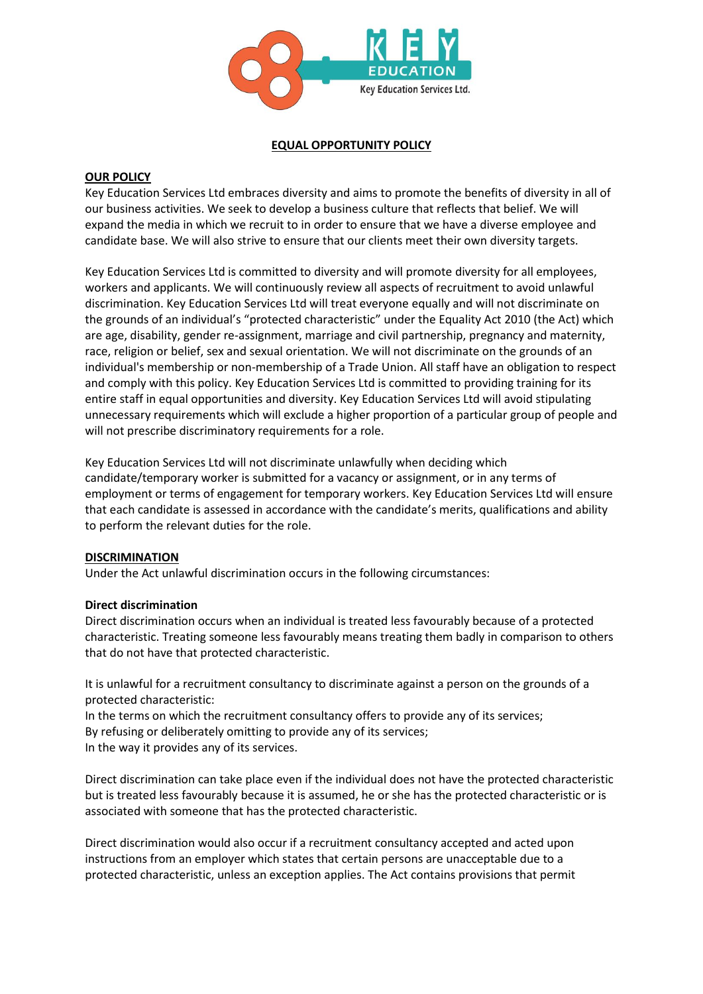

## **EQUAL OPPORTUNITY POLICY**

## **OUR POLICY**

Key Education Services Ltd embraces diversity and aims to promote the benefits of diversity in all of our business activities. We seek to develop a business culture that reflects that belief. We will expand the media in which we recruit to in order to ensure that we have a diverse employee and candidate base. We will also strive to ensure that our clients meet their own diversity targets.

Key Education Services Ltd is committed to diversity and will promote diversity for all employees, workers and applicants. We will continuously review all aspects of recruitment to avoid unlawful discrimination. Key Education Services Ltd will treat everyone equally and will not discriminate on the grounds of an individual's "protected characteristic" under the Equality Act 2010 (the Act) which are age, disability, gender re-assignment, marriage and civil partnership, pregnancy and maternity, race, religion or belief, sex and sexual orientation. We will not discriminate on the grounds of an individual's membership or non-membership of a Trade Union. All staff have an obligation to respect and comply with this policy. Key Education Services Ltd is committed to providing training for its entire staff in equal opportunities and diversity. Key Education Services Ltd will avoid stipulating unnecessary requirements which will exclude a higher proportion of a particular group of people and will not prescribe discriminatory requirements for a role.

Key Education Services Ltd will not discriminate unlawfully when deciding which candidate/temporary worker is submitted for a vacancy or assignment, or in any terms of employment or terms of engagement for temporary workers. Key Education Services Ltd will ensure that each candidate is assessed in accordance with the candidate's merits, qualifications and ability to perform the relevant duties for the role.

# **DISCRIMINATION**

Under the Act unlawful discrimination occurs in the following circumstances:

#### **Direct discrimination**

Direct discrimination occurs when an individual is treated less favourably because of a protected characteristic. Treating someone less favourably means treating them badly in comparison to others that do not have that protected characteristic.

It is unlawful for a recruitment consultancy to discriminate against a person on the grounds of a protected characteristic:

In the terms on which the recruitment consultancy offers to provide any of its services; By refusing or deliberately omitting to provide any of its services; In the way it provides any of its services.

Direct discrimination can take place even if the individual does not have the protected characteristic but is treated less favourably because it is assumed, he or she has the protected characteristic or is associated with someone that has the protected characteristic.

Direct discrimination would also occur if a recruitment consultancy accepted and acted upon instructions from an employer which states that certain persons are unacceptable due to a protected characteristic, unless an exception applies. The Act contains provisions that permit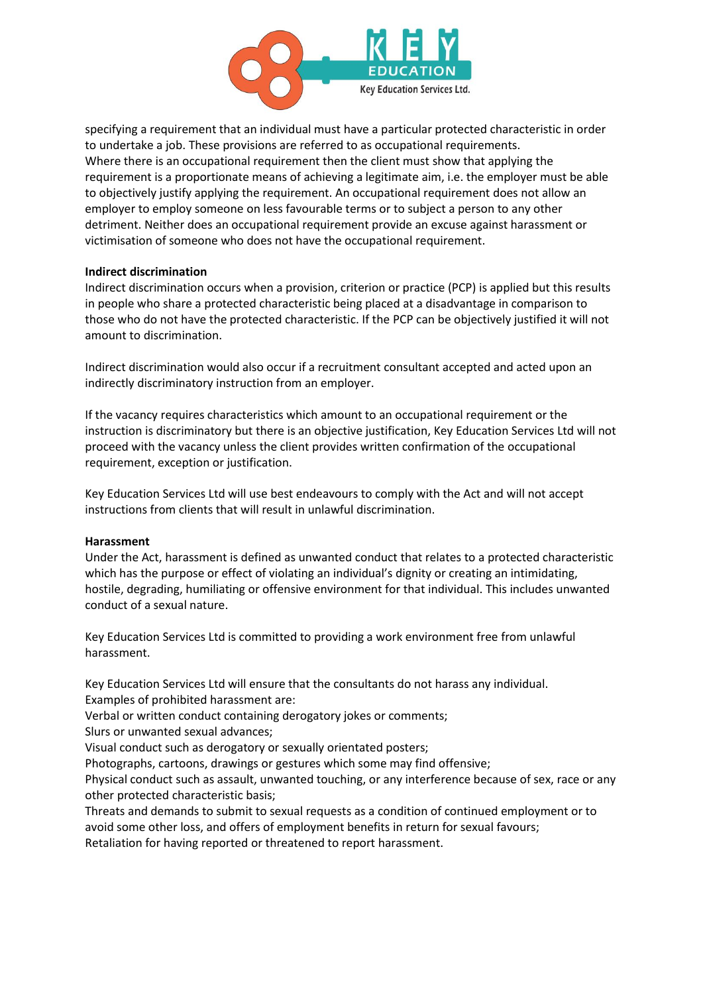

specifying a requirement that an individual must have a particular protected characteristic in order to undertake a job. These provisions are referred to as occupational requirements. Where there is an occupational requirement then the client must show that applying the requirement is a proportionate means of achieving a legitimate aim, i.e. the employer must be able to objectively justify applying the requirement. An occupational requirement does not allow an employer to employ someone on less favourable terms or to subject a person to any other detriment. Neither does an occupational requirement provide an excuse against harassment or victimisation of someone who does not have the occupational requirement.

#### **Indirect discrimination**

Indirect discrimination occurs when a provision, criterion or practice (PCP) is applied but this results in people who share a protected characteristic being placed at a disadvantage in comparison to those who do not have the protected characteristic. If the PCP can be objectively justified it will not amount to discrimination.

Indirect discrimination would also occur if a recruitment consultant accepted and acted upon an indirectly discriminatory instruction from an employer.

If the vacancy requires characteristics which amount to an occupational requirement or the instruction is discriminatory but there is an objective justification, Key Education Services Ltd will not proceed with the vacancy unless the client provides written confirmation of the occupational requirement, exception or justification.

Key Education Services Ltd will use best endeavours to comply with the Act and will not accept instructions from clients that will result in unlawful discrimination.

#### **Harassment**

Under the Act, harassment is defined as unwanted conduct that relates to a protected characteristic which has the purpose or effect of violating an individual's dignity or creating an intimidating, hostile, degrading, humiliating or offensive environment for that individual. This includes unwanted conduct of a sexual nature.

Key Education Services Ltd is committed to providing a work environment free from unlawful harassment.

Key Education Services Ltd will ensure that the consultants do not harass any individual. Examples of prohibited harassment are:

Verbal or written conduct containing derogatory jokes or comments;

Slurs or unwanted sexual advances;

Visual conduct such as derogatory or sexually orientated posters;

Photographs, cartoons, drawings or gestures which some may find offensive;

Physical conduct such as assault, unwanted touching, or any interference because of sex, race or any other protected characteristic basis;

Threats and demands to submit to sexual requests as a condition of continued employment or to avoid some other loss, and offers of employment benefits in return for sexual favours; Retaliation for having reported or threatened to report harassment.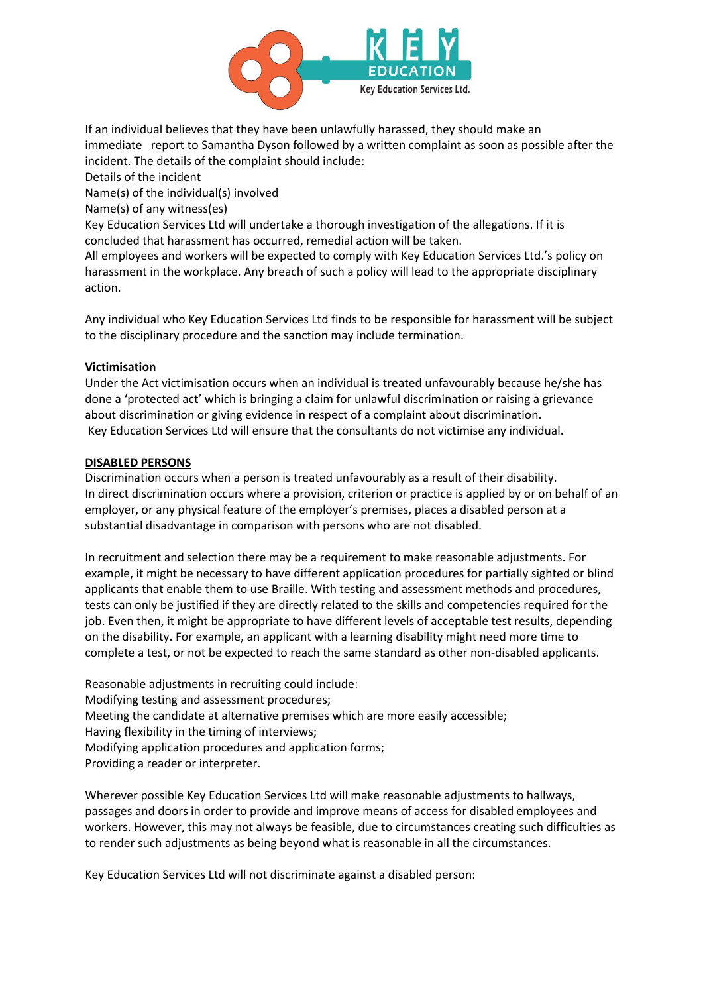

If an individual believes that they have been unlawfully harassed, they should make an immediate report to Samantha Dyson followed by a written complaint as soon as possible after the incident. The details of the complaint should include:

Details of the incident

Name(s) of the individual(s) involved

Name(s) of any witness(es)

Key Education Services Ltd will undertake a thorough investigation of the allegations. If it is concluded that harassment has occurred, remedial action will be taken.

All employees and workers will be expected to comply with Key Education Services Ltd.'s policy on harassment in the workplace. Any breach of such a policy will lead to the appropriate disciplinary action.

Any individual who Key Education Services Ltd finds to be responsible for harassment will be subject to the disciplinary procedure and the sanction may include termination.

# **Victimisation**

Under the Act victimisation occurs when an individual is treated unfavourably because he/she has done a 'protected act' which is bringing a claim for unlawful discrimination or raising a grievance about discrimination or giving evidence in respect of a complaint about discrimination. Key Education Services Ltd will ensure that the consultants do not victimise any individual.

## **DISABLED PERSONS**

Discrimination occurs when a person is treated unfavourably as a result of their disability. In direct discrimination occurs where a provision, criterion or practice is applied by or on behalf of an employer, or any physical feature of the employer's premises, places a disabled person at a substantial disadvantage in comparison with persons who are not disabled.

In recruitment and selection there may be a requirement to make reasonable adjustments. For example, it might be necessary to have different application procedures for partially sighted or blind applicants that enable them to use Braille. With testing and assessment methods and procedures, tests can only be justified if they are directly related to the skills and competencies required for the job. Even then, it might be appropriate to have different levels of acceptable test results, depending on the disability. For example, an applicant with a learning disability might need more time to complete a test, or not be expected to reach the same standard as other non-disabled applicants.

Reasonable adjustments in recruiting could include: Modifying testing and assessment procedures; Meeting the candidate at alternative premises which are more easily accessible; Having flexibility in the timing of interviews; Modifying application procedures and application forms; Providing a reader or interpreter.

Wherever possible Key Education Services Ltd will make reasonable adjustments to hallways, passages and doors in order to provide and improve means of access for disabled employees and workers. However, this may not always be feasible, due to circumstances creating such difficulties as to render such adjustments as being beyond what is reasonable in all the circumstances.

Key Education Services Ltd will not discriminate against a disabled person: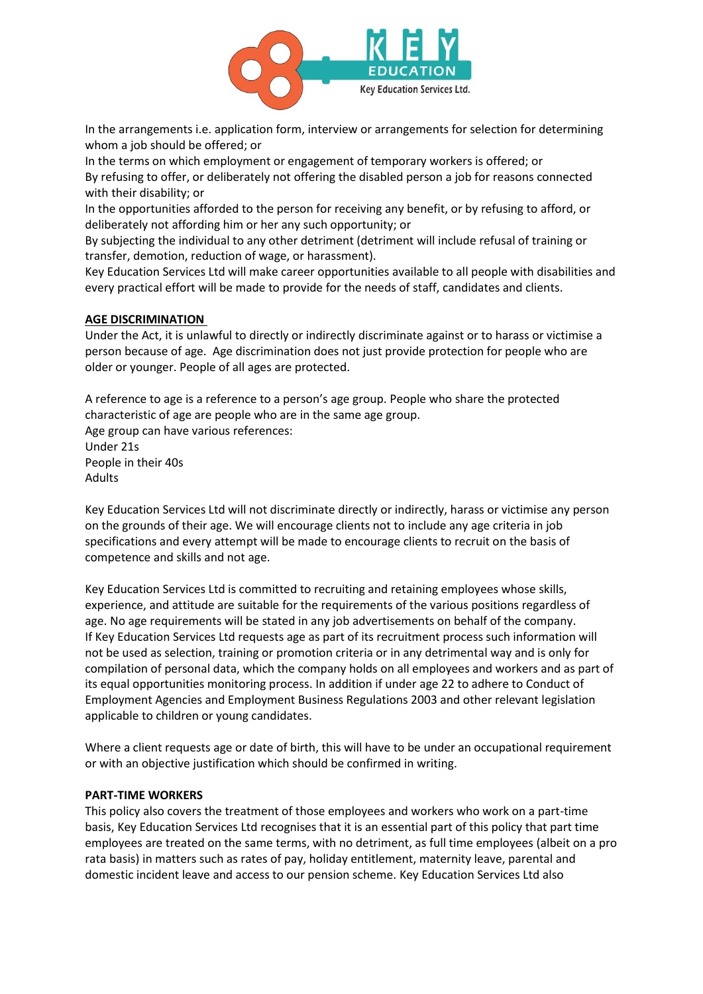

In the arrangements i.e. application form, interview or arrangements for selection for determining whom a job should be offered; or

In the terms on which employment or engagement of temporary workers is offered; or By refusing to offer, or deliberately not offering the disabled person a job for reasons connected with their disability; or

In the opportunities afforded to the person for receiving any benefit, or by refusing to afford, or deliberately not affording him or her any such opportunity; or

By subjecting the individual to any other detriment (detriment will include refusal of training or transfer, demotion, reduction of wage, or harassment).

Key Education Services Ltd will make career opportunities available to all people with disabilities and every practical effort will be made to provide for the needs of staff, candidates and clients.

## **AGE DISCRIMINATION**

Under the Act, it is unlawful to directly or indirectly discriminate against or to harass or victimise a person because of age. Age discrimination does not just provide protection for people who are older or younger. People of all ages are protected.

A reference to age is a reference to a person's age group. People who share the protected characteristic of age are people who are in the same age group. Age group can have various references: Under 21s People in their 40s Adults

Key Education Services Ltd will not discriminate directly or indirectly, harass or victimise any person on the grounds of their age. We will encourage clients not to include any age criteria in job specifications and every attempt will be made to encourage clients to recruit on the basis of competence and skills and not age.

Key Education Services Ltd is committed to recruiting and retaining employees whose skills, experience, and attitude are suitable for the requirements of the various positions regardless of age. No age requirements will be stated in any job advertisements on behalf of the company. If Key Education Services Ltd requests age as part of its recruitment process such information will not be used as selection, training or promotion criteria or in any detrimental way and is only for compilation of personal data, which the company holds on all employees and workers and as part of its equal opportunities monitoring process. In addition if under age 22 to adhere to Conduct of Employment Agencies and Employment Business Regulations 2003 and other relevant legislation applicable to children or young candidates.

Where a client requests age or date of birth, this will have to be under an occupational requirement or with an objective justification which should be confirmed in writing.

#### **PART-TIME WORKERS**

This policy also covers the treatment of those employees and workers who work on a part-time basis, Key Education Services Ltd recognises that it is an essential part of this policy that part time employees are treated on the same terms, with no detriment, as full time employees (albeit on a pro rata basis) in matters such as rates of pay, holiday entitlement, maternity leave, parental and domestic incident leave and access to our pension scheme. Key Education Services Ltd also